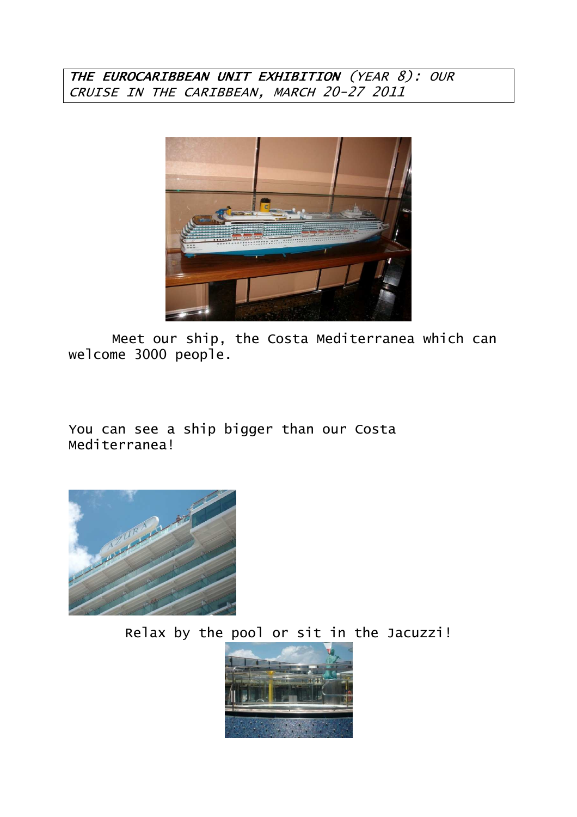## THE EUROCARIBBEAN UNIT EXHIBITION (YEAR 8): OUR CRUISE IN THE CARIBBEAN, MARCH 20-27 2011



 Meet our ship, the Costa Mediterranea which can welcome 3000 people.

You can see a ship bigger than our Costa Mediterranea!



Relax by the pool or sit in the Jacuzzi!

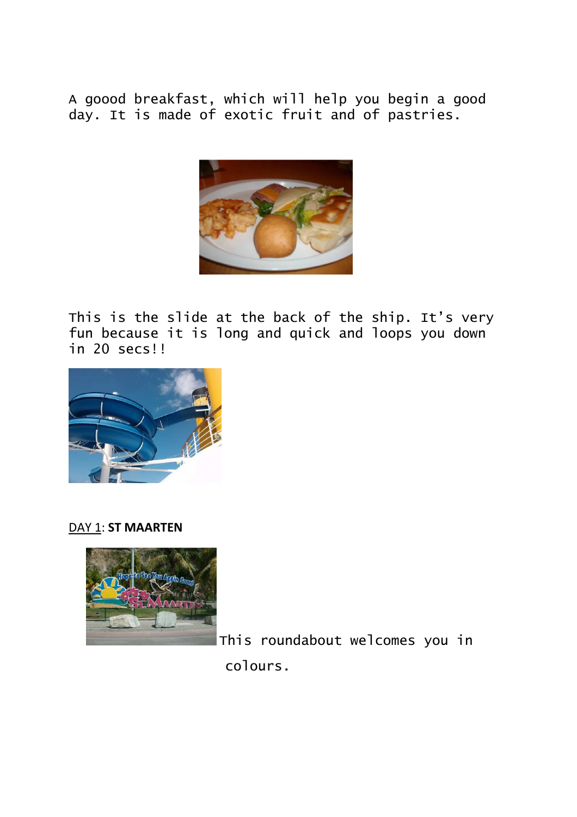A goood breakfast, which will help you begin a good day. It is made of exotic fruit and of pastries.



This is the slide at the back of the ship. It's very fun because it is long and quick and loops you down in 20 secs!!



DAY 1: **ST MAARTEN** 



This roundabout welcomes you in colours.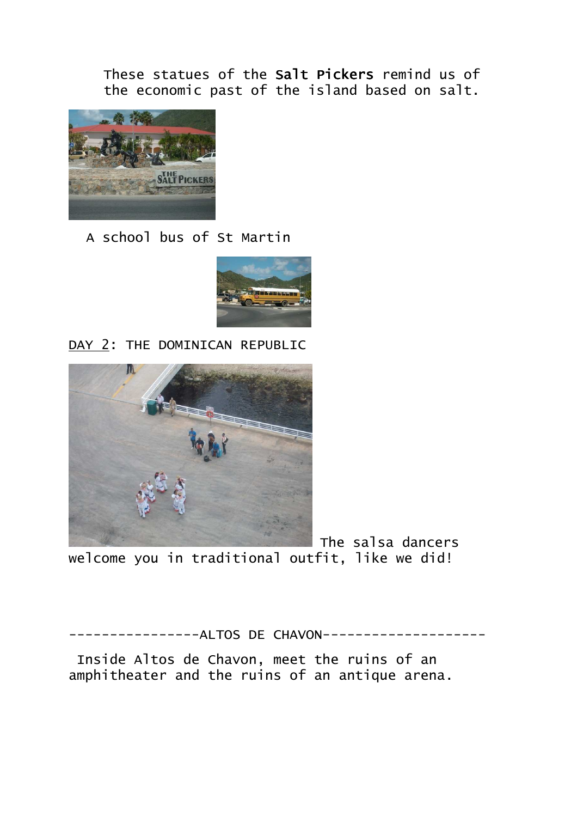These statues of the Salt Pickers remind us of the economic past of the island based on salt.



A school bus of St Martin



DAY 2: THE DOMINICAN REPUBLIC



 The salsa dancers welcome you in traditional outfit, like we did!

-------------ALTOS DE CHAVON------------------

 Inside Altos de Chavon, meet the ruins of an amphitheater and the ruins of an antique arena.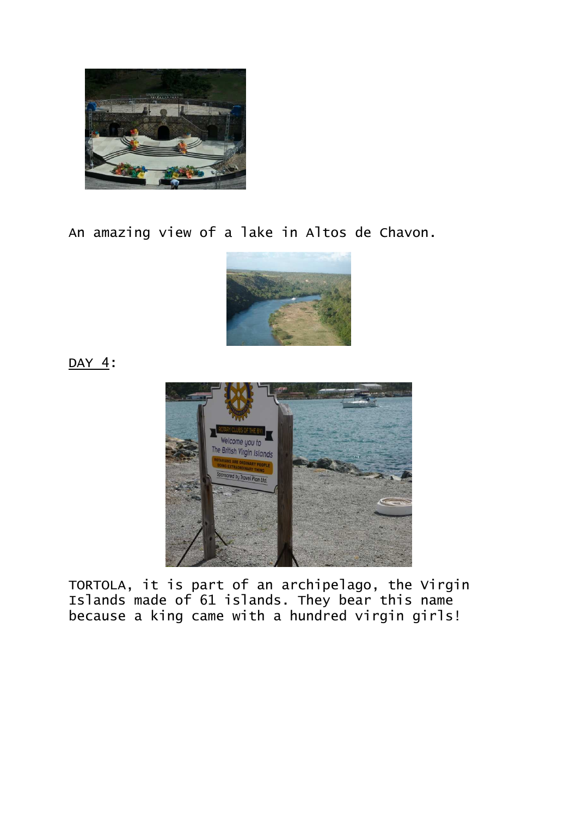

An amazing view of a lake in Altos de Chavon.



DAY 4:



TORTOLA, it is part of an archipelago, the Virgin Islands made of 61 islands. They bear this name because a king came with a hundred virgin girls!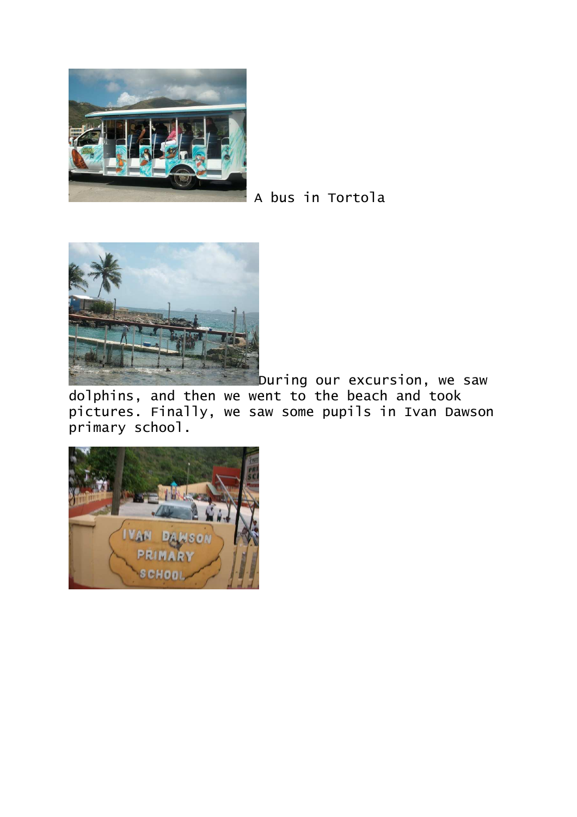

A bus in Tortola



During our excursion, we saw

dolphins, and then we went to the beach and took pictures. Finally, we saw some pupils in Ivan Dawson primary school.

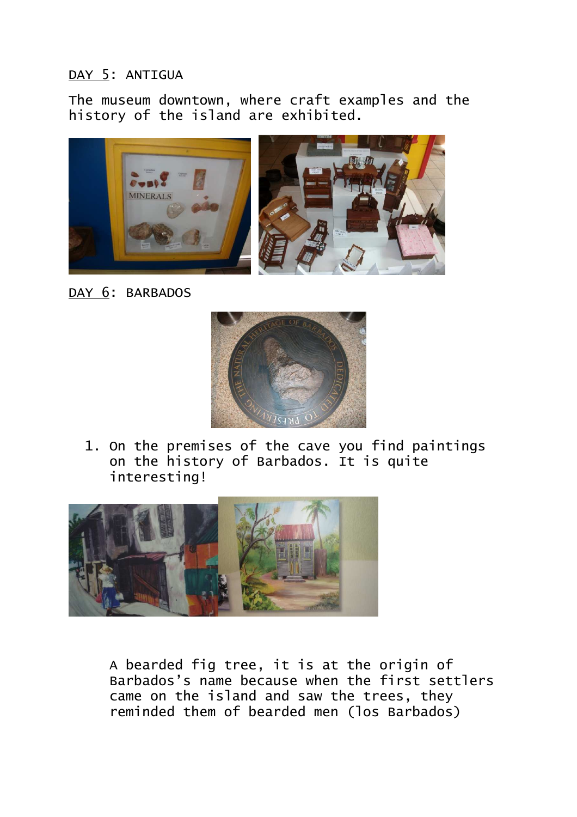## DAY 5: ANTIGUA

The museum downtown, where craft examples and the history of the island are exhibited.



DAY 6: BARBADOS



1. On the premises of the cave you find paintings on the history of Barbados. It is quite interesting!



A bearded fig tree, it is at the origin of Barbados's name because when the first settlers came on the island and saw the trees, they reminded them of bearded men (los Barbados)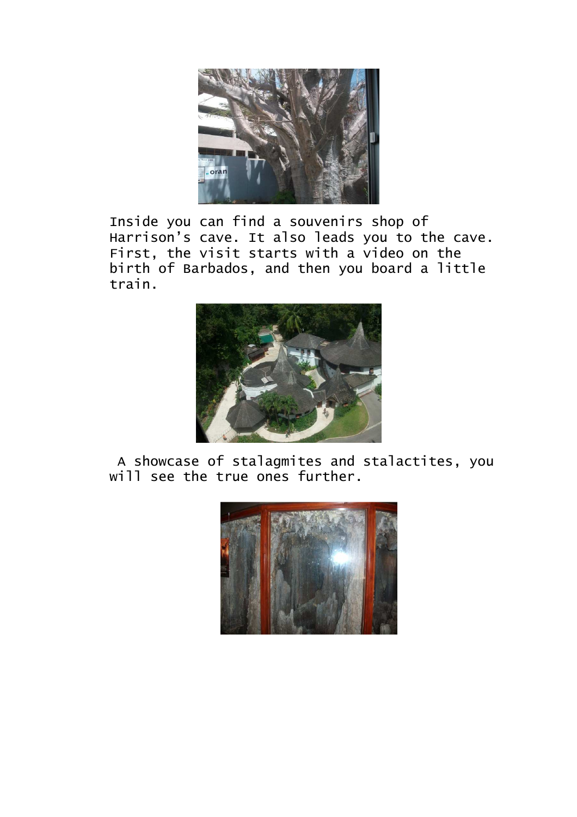

Inside you can find a souvenirs shop of Harrison's cave. It also leads you to the cave. First, the visit starts with a video on the birth of Barbados, and then you board a little train.



 A showcase of stalagmites and stalactites, you will see the true ones further.

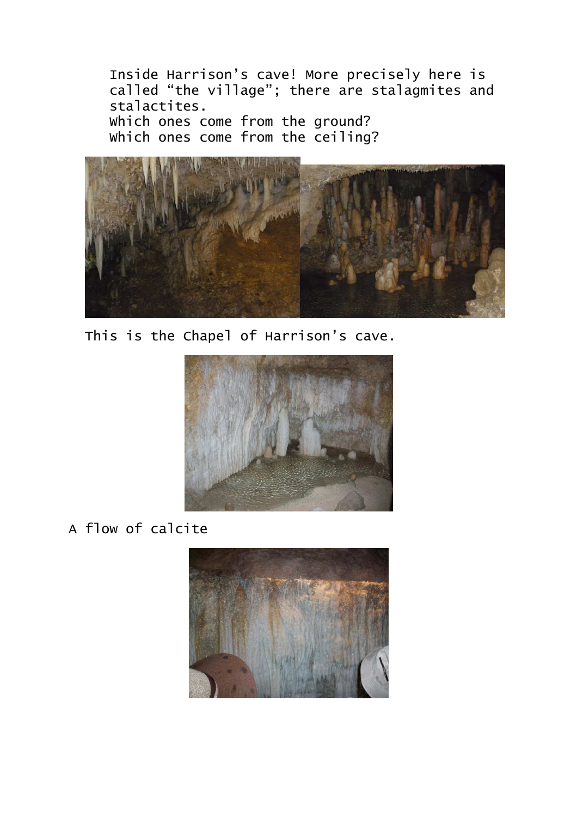Inside Harrison's cave! More precisely here is called "the village"; there are stalagmites and stalactites. Which ones come from the ground? Which ones come from the ceiling?







A flow of calcite